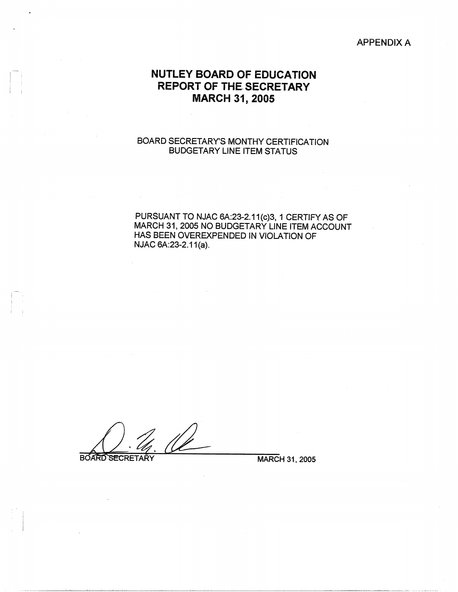### APPENDIX A

# **NUTLEY BOARD OF EDUCATION REPORT OF THE SECRETARY MARCH 31, 2005**

## BOARD SECRETARY'S MONTHY CERTIFICATION BUDGETARY LINE ITEM STATUS

PURSUANT TO NJAC 6A:23-2.11{c}3, 1 CERTIFY AS OF MARCH 31, 2005 NO BUDGETARY LINE ITEM ACCOUNT HAS BEEN OVEREXPENDED IN VIOLATION OF NJAC 6A:23-2.11(a).

**BOARD SECRETARY** 

I I 1  $\mathbf{I} \rightarrow \mathbf{I}$ 

i i

MARCH 31, 2005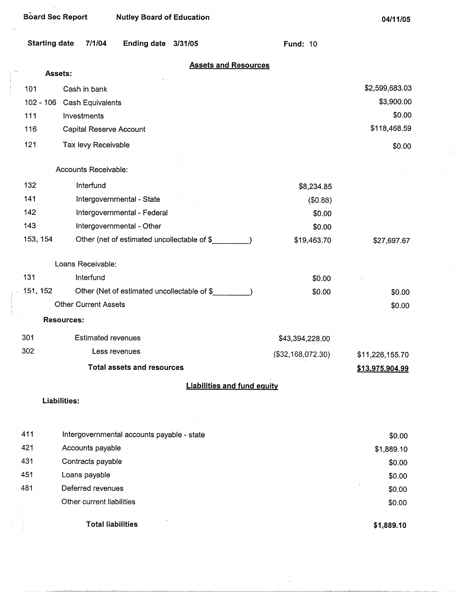| <b>Starting date</b> | 7/1/04<br><b>Ending date</b><br>3/31/05                        | <b>Fund: 10</b>   |                 |
|----------------------|----------------------------------------------------------------|-------------------|-----------------|
|                      | <b>Assets and Resources</b><br>Assets:                         |                   |                 |
|                      |                                                                |                   |                 |
| 101                  | Cash in bank                                                   |                   | \$2,599,683.03  |
| $102 - 106$          | Cash Equivalents                                               |                   | \$3,900.00      |
| 111                  | Investments                                                    |                   | \$0.00          |
| 116                  | Capital Reserve Account                                        |                   | \$118,468.59    |
| 121                  | Tax levy Receivable                                            |                   | \$0.00          |
|                      | Accounts Receivable:                                           |                   |                 |
| 132                  | Interfund                                                      | \$8,234.85        |                 |
| 141                  | Intergovernmental - State                                      | (\$0.88)          |                 |
| 142                  | Intergovernmental - Federal                                    | \$0.00            |                 |
| 143                  | Intergovernmental - Other                                      | \$0.00            |                 |
| 153, 154             | Other (net of estimated uncollectable of \$                    | \$19,463.70       | \$27,697.67     |
|                      | Loans Receivable:                                              |                   |                 |
| 131                  | Interfund                                                      | \$0.00            |                 |
| 151, 152             | Other (Net of estimated uncollectable of \$_<br>$\sim 10^{11}$ | \$0.00            | \$0.00          |
|                      | <b>Other Current Assets</b>                                    |                   | \$0.00          |
|                      | <b>Resources:</b>                                              |                   |                 |
| 301                  | <b>Estimated revenues</b>                                      | \$43,394,228.00   |                 |
| 302                  | Less revenues                                                  | (\$32,168,072.30) | \$11,226,155.70 |
|                      | <b>Total assets and resources</b>                              |                   | \$13,975,904.99 |
|                      | <b>Liabilities and fund equity</b>                             |                   |                 |
|                      | Liabilities:                                                   |                   |                 |
|                      |                                                                |                   |                 |
| 411                  | Intergovernmental accounts payable - state                     |                   | \$0.00          |
| 421                  | Accounts payable                                               |                   | \$1,889.10      |
| 431                  | Contracts payable                                              |                   | \$0.00          |
| 451                  | Loans payable                                                  |                   | \$0.00          |
| 481                  | Deferred revenues                                              |                   | \$0.00          |

- Other current liabilities
	- Total liabilities

**\$1,889.10** 

\$0.00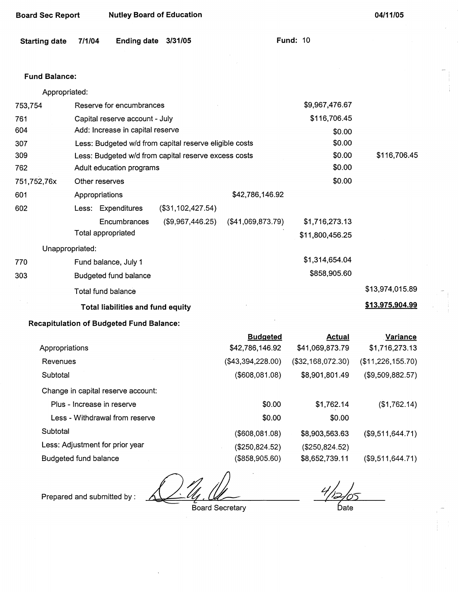| Board Sec Report | <b>Nutley Board of Education</b> |
|------------------|----------------------------------|
|------------------|----------------------------------|

**Fund: 10** 

| Starting date 7/1/04 | Ending date 3/31/05 |  |
|----------------------|---------------------|--|
|----------------------|---------------------|--|

#### **Fund Balance:**

| Appropriated:   |                                                        |                                |                   |                 |                 |
|-----------------|--------------------------------------------------------|--------------------------------|-------------------|-----------------|-----------------|
| 753,754         | Reserve for encumbrances                               |                                |                   | \$9,967,476.67  |                 |
| 761             |                                                        | Capital reserve account - July |                   |                 |                 |
| 604             | Add: Increase in capital reserve                       |                                |                   | \$0.00          |                 |
| 307             | Less: Budgeted w/d from capital reserve eligible costs |                                |                   | \$0.00          |                 |
| 309             | Less: Budgeted w/d from capital reserve excess costs   |                                |                   | \$0.00          | \$116,706.45    |
| 762             | Adult education programs                               |                                |                   | \$0.00          |                 |
| 751,752,76x     | Other reserves                                         |                                |                   | \$0.00          |                 |
| 601             | Appropriations                                         |                                | \$42,786,146.92   |                 |                 |
| 602             | Less: Expenditures                                     | (\$31,102,427.54)              |                   |                 |                 |
|                 | <b>Encumbrances</b>                                    | (\$9,967,446.25)               | (\$41,069,873.79) | \$1,716,273.13  |                 |
|                 | Total appropriated                                     |                                |                   | \$11,800,456.25 |                 |
| Unappropriated: |                                                        |                                |                   |                 |                 |
| 770             | Fund balance, July 1                                   |                                |                   | \$1,314,654.04  |                 |
| 303             | Budgeted fund balance                                  |                                |                   | \$858,905.60    |                 |
|                 | Total fund balance                                     |                                |                   |                 | \$13,974,015.89 |
|                 | <b>Total liabilities and fund equity</b>               |                                |                   |                 | \$13,975,904.99 |

# **Recapitulation of Budgeted Fund Balance:**

|                                    | <b>Budgeted</b>   | <b>Actual</b>     | <b>Variance</b>   |
|------------------------------------|-------------------|-------------------|-------------------|
| Appropriations                     | \$42,786,146.92   | \$41,069,873.79   | \$1,716,273.13    |
| Revenues                           | (\$43,394,228.00) | (\$32,168,072.30) | (\$11,226,155.70) |
| Subtotal                           | (\$608,081.08)    | \$8,901,801.49    | (\$9,509,882.57)  |
| Change in capital reserve account: |                   |                   |                   |
| Plus - Increase in reserve         | \$0.00            | \$1,762.14        | (\$1,762.14)      |
| Less - Withdrawal from reserve     | \$0.00            | \$0.00            |                   |
| Subtotal                           | (\$608,081.08)    | \$8,903,563.63    | (\$9,511,644.71)  |
| Less: Adjustment for prior year    | (\$250,824.52)    | (\$250,824.52)    |                   |
| Budgeted fund balance              | (\$858,905.60)    | \$8,652,739.11    | (\$9,511,644.71)  |

 $\frac{1}{2}$   $\frac{1}{4}$   $\frac{1}{2}$  Board Secretary

Prepared and submitted by :

bate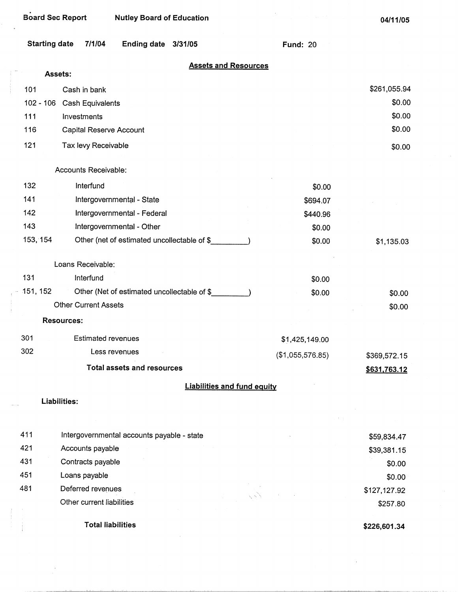| Starting date | 7/1/04 | Ending date 3/31/05 |  |  |
|---------------|--------|---------------------|--|--|
|---------------|--------|---------------------|--|--|

**Fund:** 20

 $\mathcal{F}^{\mathcal{F}}$ 

|  | <b>Assets and Resources</b> |  |
|--|-----------------------------|--|
|  |                             |  |

|             | Assets:                                     |                  |              |
|-------------|---------------------------------------------|------------------|--------------|
| 101         | Cash in bank                                |                  | \$261,055.94 |
| $102 - 106$ | Cash Equivalents                            |                  | \$0.00       |
| 111         | Investments                                 |                  | \$0.00       |
| 116         | Capital Reserve Account                     |                  | \$0.00       |
| 121         | Tax levy Receivable                         |                  | \$0.00       |
|             | Accounts Receivable:                        |                  |              |
| 132         | Interfund                                   | \$0.00           |              |
| 141         | Intergovernmental - State                   | \$694.07         |              |
| 142         | Intergovernmental - Federal                 | \$440.96         |              |
| 143         | Intergovernmental - Other                   | \$0.00           |              |
| 153, 154    | Other (net of estimated uncollectable of \$ | \$0.00           | \$1,135.03   |
|             | Loans Receivable:                           |                  |              |
| 131         | Interfund                                   | \$0.00           |              |
| 151, 152    | Other (Net of estimated uncollectable of \$ | \$0.00           | \$0.00       |
|             | <b>Other Current Assets</b>                 |                  | \$0.00       |
|             | <b>Resources:</b>                           |                  |              |
| 301         | Estimated revenues                          | \$1,425,149.00   |              |
| 302         | Less revenues                               | (\$1,055,576.85) | \$369,572.15 |
|             | <b>Total assets and resources</b>           |                  | \$631,763.12 |
|             | <b>Liabilities and fund equity</b>          |                  |              |
|             | Liabilities:                                |                  |              |
| 411         | Intergovernmental accounts payable - state  |                  | \$59,834.47  |
| 421         | Accounts payable                            |                  | \$39,381.15  |
| 431         | Contracts payable                           |                  | \$0.00       |
| 451         | Loans payable                               |                  | \$0.00       |
| 481         | Deferred revenues                           |                  | \$127,127.92 |
|             | Other current liabilities                   |                  | \$257.80     |
|             | <b>Total liabilities</b>                    |                  | \$226,601.34 |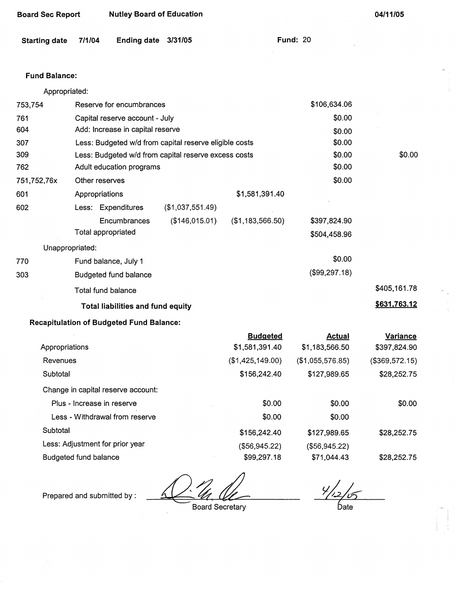| <b>Starting date</b> | 7/1/04                          | <b>Ending date</b>                              | 3/31/05                                                |                  | <b>Fund: 20</b>  |                |
|----------------------|---------------------------------|-------------------------------------------------|--------------------------------------------------------|------------------|------------------|----------------|
| <b>Fund Balance:</b> |                                 |                                                 |                                                        |                  |                  |                |
| Appropriated:        |                                 |                                                 |                                                        |                  |                  |                |
| 753,754              |                                 | Reserve for encumbrances                        |                                                        |                  | \$106,634.06     |                |
| 761                  |                                 | Capital reserve account - July                  |                                                        |                  | \$0.00           |                |
| 604                  |                                 | Add: Increase in capital reserve                |                                                        |                  | \$0.00           |                |
| 307                  |                                 |                                                 | Less: Budgeted w/d from capital reserve eligible costs |                  | \$0.00           |                |
| 309                  |                                 |                                                 | Less: Budgeted w/d from capital reserve excess costs   |                  | \$0.00           | \$0.00         |
| 762                  |                                 | Adult education programs                        |                                                        |                  | \$0.00           |                |
| 751,752,76x          | Other reserves                  |                                                 |                                                        |                  | \$0.00           |                |
| 601                  | Appropriations                  |                                                 |                                                        | \$1,581,391.40   |                  |                |
| 602                  |                                 | Less: Expenditures                              | (\$1,037,551.49)                                       |                  |                  |                |
|                      |                                 | Encumbrances                                    | (\$146,015.01)                                         | (\$1,183,566.50) | \$397,824.90     |                |
|                      | Total appropriated              |                                                 |                                                        |                  | \$504,458.96     |                |
|                      | Unappropriated:                 |                                                 |                                                        |                  |                  |                |
| 770                  |                                 | Fund balance, July 1                            |                                                        |                  | \$0.00           |                |
| 303                  |                                 | Budgeted fund balance                           |                                                        |                  | (\$99,297.18)    |                |
|                      | <b>Total fund balance</b>       |                                                 |                                                        |                  |                  | \$405,161.78   |
|                      |                                 | Total liabilities and fund equity               |                                                        |                  |                  | \$631,763.12   |
|                      |                                 | <b>Recapitulation of Budgeted Fund Balance:</b> |                                                        |                  |                  |                |
|                      |                                 |                                                 |                                                        | <b>Budgeted</b>  | <b>Actual</b>    | Variance       |
| Appropriations       |                                 |                                                 |                                                        | \$1,581,391.40   | \$1,183,566.50   | \$397,824.90   |
| Revenues             |                                 |                                                 |                                                        | (\$1,425,149.00) | (\$1,055,576.85) | (\$369,572.15) |
| Subtotal             |                                 |                                                 |                                                        | \$156,242.40     | \$127,989.65     | \$28,252.75    |
|                      |                                 | Change in capital reserve account:              |                                                        |                  |                  |                |
|                      | Plus - Increase in reserve      |                                                 |                                                        | \$0.00           | \$0.00           | \$0.00         |
|                      |                                 | Less - Withdrawal from reserve                  |                                                        | \$0.00           | \$0.00           |                |
| Subtotal             |                                 |                                                 |                                                        | \$156,242.40     | \$127,989.65     | \$28,252.75    |
|                      | Less: Adjustment for prior year |                                                 |                                                        | (\$56,945.22)    | (\$56,945.22)    |                |

Budgeted fund balance \$99,297.18

Prepared and submitted by : **All the Board Secretary** 

**Board Sec Report Nutley Board of Education** 

 $\frac{4}{12/5}$ Date

\$28,252.75

**04/11/05** 

\$71,044.43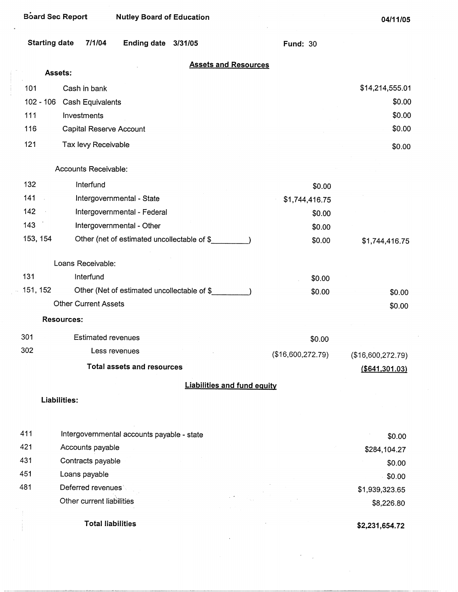| <b>Starting date</b> | 7/1/04 | Ending date 3/31/05 |  |  |
|----------------------|--------|---------------------|--|--|
|----------------------|--------|---------------------|--|--|

Fund: 30

## **Assets and Resources**

|     |                      | Assets:                                     |                   |                   |
|-----|----------------------|---------------------------------------------|-------------------|-------------------|
|     | 101                  | Cash in bank                                |                   | \$14,214,555.01   |
|     | $102 - 106$          | <b>Cash Equivalents</b>                     |                   | \$0.00            |
|     | 111                  | Investments                                 |                   | \$0.00            |
|     | 116                  | Capital Reserve Account                     |                   | \$0.00            |
|     | 121                  | Tax levy Receivable                         |                   | \$0.00            |
|     |                      | Accounts Receivable:                        |                   |                   |
|     | 132                  | Interfund                                   | \$0.00            |                   |
|     | 141<br>$\mathcal{L}$ | Intergovernmental - State                   | \$1,744,416.75    |                   |
|     | 142<br>$\sim$        | Intergovernmental - Federal                 | \$0.00            |                   |
| 143 |                      | Intergovernmental - Other                   | \$0.00            |                   |
|     | 153, 154             | Other (net of estimated uncollectable of \$ | \$0.00            | \$1,744,416.75    |
|     |                      | Loans Receivable:                           |                   |                   |
| 131 |                      | Interfund                                   | \$0.00            |                   |
|     | 151, 152             | Other (Net of estimated uncollectable of \$ | \$0.00            | \$0.00            |
|     |                      | <b>Other Current Assets</b>                 |                   | \$0.00            |
|     |                      | <b>Resources:</b>                           |                   |                   |
| 301 |                      | <b>Estimated revenues</b>                   | \$0.00            |                   |
| 302 |                      | Less revenues                               | (\$16,600,272.79) | (\$16,600,272.79) |
|     |                      | <b>Total assets and resources</b>           |                   | $($ \$641,301.03) |
|     |                      | <b>Liabilities and fund equity</b>          |                   |                   |
|     |                      | Liabilities:                                |                   |                   |
|     |                      |                                             |                   |                   |
| 411 |                      | Intergovernmental accounts payable - state  |                   | \$0.00            |
| 421 |                      | Accounts payable                            |                   | \$284,104.27      |
| 431 |                      | Contracts payable                           |                   | \$0.00            |

451 Loans payable

481 Deferred revenues' Other current liabilities

**Total liabilities** 

**\$2,231,654.72** 

**\$1,939,323.65 \$8,226.80** 

\$0.00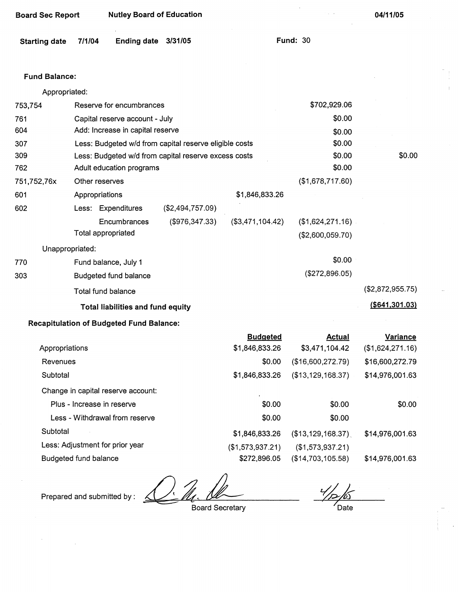| <b>Board Sec Report</b> |                       | <b>Nutley Board of Education</b>                |                                                        |                                   |                                      | 04/11/05                     |
|-------------------------|-----------------------|-------------------------------------------------|--------------------------------------------------------|-----------------------------------|--------------------------------------|------------------------------|
| <b>Starting date</b>    | 7/1/04                | <b>Ending date</b>                              | 3/31/05                                                |                                   | <b>Fund: 30</b>                      |                              |
| <b>Fund Balance:</b>    |                       |                                                 |                                                        |                                   |                                      |                              |
| Appropriated:           |                       |                                                 |                                                        |                                   |                                      |                              |
| 753,754                 |                       | Reserve for encumbrances                        |                                                        |                                   | \$702,929.06                         |                              |
| 761                     |                       | Capital reserve account - July                  |                                                        |                                   | \$0.00                               |                              |
| 604                     |                       | Add: Increase in capital reserve                |                                                        |                                   | \$0.00                               |                              |
| 307                     |                       |                                                 | Less: Budgeted w/d from capital reserve eligible costs |                                   | \$0.00                               |                              |
| 309                     |                       |                                                 | Less: Budgeted w/d from capital reserve excess costs   |                                   | \$0.00                               | \$0.00                       |
| 762                     |                       | Adult education programs                        |                                                        |                                   | \$0.00                               |                              |
| 751,752,76x             | Other reserves        |                                                 |                                                        |                                   | (\$1,678,717.60)                     |                              |
| 601                     | Appropriations        |                                                 |                                                        | \$1,846,833.26                    |                                      |                              |
| 602                     |                       | Less: Expenditures                              | (\$2,494,757.09)                                       |                                   |                                      |                              |
|                         |                       | Encumbrances<br>Total appropriated              | (\$976,347.33)                                         | (\$3,471,104.42)                  | (\$1,624,271.16)<br>(\$2,600,059.70) |                              |
|                         | Unappropriated:       |                                                 |                                                        |                                   |                                      |                              |
| 770                     |                       | Fund balance, July 1                            |                                                        |                                   | \$0.00                               |                              |
| 303                     |                       | Budgeted fund balance                           |                                                        |                                   | (\$272,896.05)                       |                              |
|                         |                       | Total fund balance                              |                                                        |                                   |                                      | (\$2,872,955.75)             |
|                         |                       | <b>Total liabilities and fund equity</b>        |                                                        |                                   |                                      | ( \$641, 301.03)             |
|                         |                       | <b>Recapitulation of Budgeted Fund Balance:</b> |                                                        |                                   |                                      |                              |
| Appropriations          |                       |                                                 |                                                        | <b>Budgeted</b><br>\$1,846,833.26 | <b>Actual</b><br>\$3,471,104.42      | Variance<br>(\$1,624,271.16) |
| Revenues                |                       |                                                 |                                                        | \$0.00                            | (\$16,600,272.79)                    | \$16,600,272.79              |
| Subtotal                |                       |                                                 |                                                        | \$1,846,833.26                    | (\$13,129,168.37)                    | \$14,976,001.63              |
|                         |                       | Change in capital reserve account:              |                                                        |                                   |                                      |                              |
|                         |                       | Plus - Increase in reserve                      |                                                        | \$0.00                            | \$0.00                               | \$0.00                       |
|                         |                       | Less - Withdrawal from reserve                  |                                                        | \$0.00                            | \$0.00                               |                              |
| Subtotal                |                       |                                                 |                                                        | \$1,846,833.26                    | $(\$13,129,168.37)$                  | \$14,976,001.63              |
|                         |                       | Less: Adjustment for prior year                 |                                                        | (\$1,573,937.21)                  | (\$1,573,937.21)                     |                              |
|                         | Budgeted fund balance |                                                 |                                                        | \$272,896.05                      | (\$14,703,105.58)                    | \$14,976,001.63              |

Prepared and submitted by:

Board Secretary

Date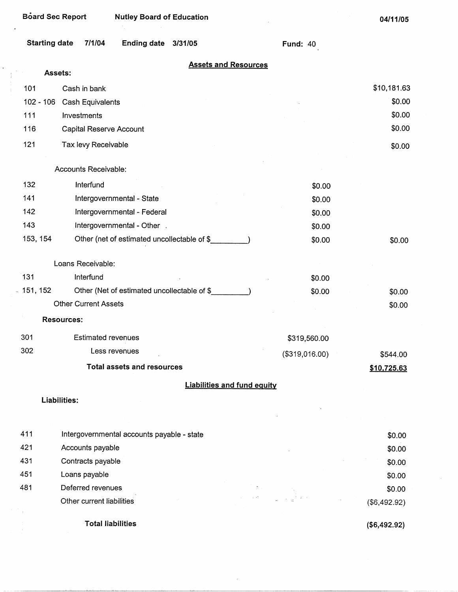| Starting date | 7/1/04 | <b>Ending date</b> | 3/31/05 |
|---------------|--------|--------------------|---------|
|---------------|--------|--------------------|---------|

**Total liabilities** 

Fund: 40

| <b>Assets and Resources</b> |  |  |
|-----------------------------|--|--|
|                             |  |  |

|             | Assets:                                                 |                |              |
|-------------|---------------------------------------------------------|----------------|--------------|
| 101         | Cash in bank                                            |                | \$10,181.63  |
| $102 - 106$ | Cash Equivalents                                        |                | \$0.00       |
| 111         | Investments                                             |                | \$0.00       |
| 116         | Capital Reserve Account                                 |                | \$0.00       |
| 121         | Tax levy Receivable                                     |                | \$0.00       |
|             | Accounts Receivable:                                    |                |              |
| 132         | Interfund                                               | \$0.00         |              |
| 141         | Intergovernmental - State                               | \$0.00         |              |
| 142         | Intergovernmental - Federal                             | \$0.00         |              |
| 143         | Intergovernmental - Other                               | \$0.00         |              |
| 153, 154    | Other (net of estimated uncollectable of \$___________) | \$0.00         | \$0.00       |
|             | Loans Receivable:                                       |                |              |
| 131         | Interfund                                               | \$0.00         |              |
| 151, 152    | Other (Net of estimated uncollectable of \$             | \$0.00         | \$0.00       |
|             | <b>Other Current Assets</b>                             |                | \$0.00       |
|             | <b>Resources:</b>                                       |                |              |
| 301         | <b>Estimated revenues</b>                               | \$319,560.00   |              |
| 302         | Less revenues                                           | (\$319,016.00) | \$544.00     |
|             | <b>Total assets and resources</b>                       |                | \$10,725.63  |
|             | <b>Liabilities and fund equity</b>                      |                |              |
|             | Liabilities:                                            |                |              |
|             |                                                         |                |              |
| 411         | Intergovernmental accounts payable - state              |                | \$0.00       |
| 421         | Accounts payable                                        |                | \$0.00       |
| 431         | Contracts payable                                       |                | \$0.00       |
| 451         | Loans payable                                           |                | \$0.00       |
| 481         | Deferred revenues                                       |                | \$0.00       |
|             | Other current liabilities                               |                | (\$6,492.92) |

 $\hat{\boldsymbol{\beta}}$ 

**(\$6,492.92)**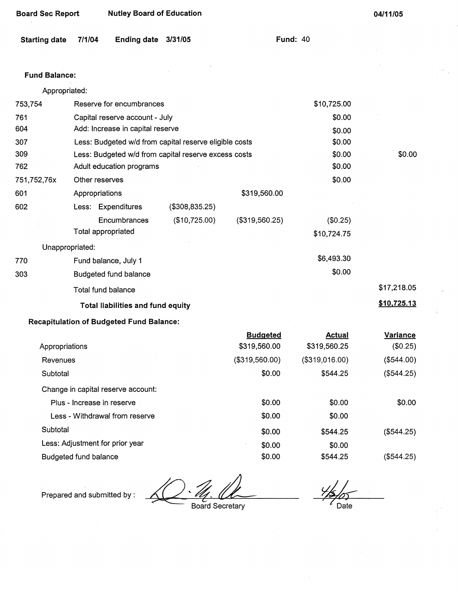| <b>Board Sec Report</b> | <b>Nutley Board of Education</b> |
|-------------------------|----------------------------------|
|-------------------------|----------------------------------|

**Fund: 40** 

#### **Fund Balance:**

|             | Appropriated:   |                                                        |                                                      |                |             |             |
|-------------|-----------------|--------------------------------------------------------|------------------------------------------------------|----------------|-------------|-------------|
| 753,754     |                 | Reserve for encumbrances                               |                                                      |                | \$10,725.00 |             |
| 761         |                 | Capital reserve account - July                         |                                                      |                | \$0.00      |             |
| 604         |                 | Add: Increase in capital reserve                       |                                                      |                | \$0.00      |             |
| 307         |                 | Less: Budgeted w/d from capital reserve eligible costs |                                                      |                |             |             |
| 309         |                 |                                                        | Less: Budgeted w/d from capital reserve excess costs |                | \$0.00      | \$0.00      |
| 762         |                 | Adult education programs                               |                                                      |                | \$0.00      |             |
| 751,752,76x |                 | Other reserves                                         |                                                      |                | \$0.00      |             |
| 601         |                 | Appropriations                                         |                                                      | \$319,560.00   |             |             |
| 602         |                 | Less: Expenditures                                     | (\$308,835.25)                                       |                |             |             |
|             |                 | Encumbrances                                           | (\$10,725.00)                                        | (\$319,560.25) | (\$0.25)    |             |
|             |                 | Total appropriated                                     |                                                      |                | \$10,724.75 |             |
|             | Unappropriated: |                                                        |                                                      |                |             |             |
| 770         |                 | Fund balance, July 1                                   |                                                      |                | \$6,493.30  |             |
| 303         |                 | Budgeted fund balance                                  |                                                      |                | \$0.00      |             |
|             |                 | Total fund balance                                     |                                                      |                |             | \$17,218.05 |
|             |                 | <b>Total liabilities and fund equity</b>               |                                                      |                |             | \$10,725.13 |
|             |                 |                                                        |                                                      |                |             |             |

## **Recapitulation of Budgeted Fund Balance:**

|                                    | <b>Budgeted</b> | Actual         | Variance     |
|------------------------------------|-----------------|----------------|--------------|
| Appropriations                     | \$319,560.00    | \$319,560.25   | (\$0.25)     |
| Revenues                           | (\$319,560.00)  | (\$319,016.00) | $(\$544.00)$ |
| Subtotal                           | \$0.00          | \$544.25       | (\$544.25)   |
| Change in capital reserve account: |                 |                |              |
| Plus - Increase in reserve         | \$0.00          | \$0.00         | \$0.00       |
| Less - Withdrawal from reserve     | \$0.00          | \$0.00         |              |
| Subtotal                           | \$0.00          | \$544.25       | (S544.25)    |
| Less: Adjustment for prior year    | \$0.00          | \$0.00         |              |
| Budgeted fund balance              | \$0.00          | \$544.25       | (\$544.25)   |

Prepared and submitted by :

 $\frac{1}{\frac{1}{10}}$  Date

Board Secretary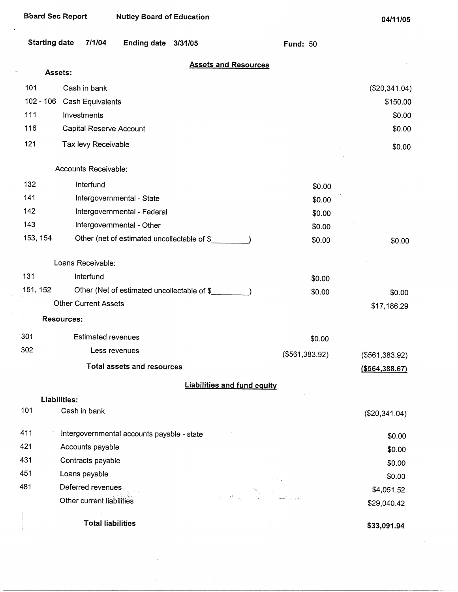| <b>Board Sec Report</b> |                             | <b>Nutley Board of Education</b>            |         |                                    |                 | 04/11/05                  |
|-------------------------|-----------------------------|---------------------------------------------|---------|------------------------------------|-----------------|---------------------------|
| <b>Starting date</b>    | 7/1/04                      | <b>Ending date</b>                          | 3/31/05 |                                    | <b>Fund: 50</b> |                           |
|                         | Assets:                     |                                             |         | <b>Assets and Resources</b>        |                 |                           |
| 101                     | Cash in bank                |                                             |         |                                    |                 |                           |
| $102 - 106$             | Cash Equivalents            |                                             |         |                                    |                 | (\$20,341.04)<br>\$150.00 |
| 111                     | Investments                 |                                             |         |                                    |                 | \$0.00                    |
| 116                     |                             | Capital Reserve Account                     |         |                                    |                 | \$0.00                    |
|                         |                             |                                             |         |                                    |                 |                           |
| 121                     | Tax levy Receivable         |                                             |         |                                    |                 | \$0.00                    |
|                         | Accounts Receivable:        |                                             |         |                                    |                 |                           |
| 132                     | Interfund                   |                                             |         |                                    | \$0.00          |                           |
| 141                     |                             | Intergovernmental - State                   |         |                                    | \$0.00          |                           |
| 142                     |                             | Intergovernmental - Federal                 |         |                                    | \$0.00          |                           |
| 143                     |                             | Intergovernmental - Other                   |         |                                    | \$0.00          |                           |
| 153, 154                |                             | Other (net of estimated uncollectable of \$ |         |                                    | \$0.00          | \$0.00                    |
|                         | Loans Receivable:           |                                             |         |                                    |                 |                           |
| 131                     | Interfund                   |                                             |         |                                    | \$0.00          |                           |
| 151, 152                |                             | Other (Net of estimated uncollectable of \$ |         |                                    | \$0.00          | \$0.00                    |
|                         | <b>Other Current Assets</b> |                                             |         |                                    |                 | \$17,186.29               |
|                         | <b>Resources:</b>           |                                             |         |                                    |                 |                           |
| 301                     |                             | <b>Estimated revenues</b>                   |         |                                    | \$0.00          |                           |
| 302                     |                             | Less revenues                               |         |                                    | (\$561,383.92)  | (\$561,383.92)            |
|                         |                             | <b>Total assets and resources</b>           |         |                                    |                 | ( \$564, 388.67)          |
|                         |                             |                                             |         | <b>Liabilities and fund equity</b> |                 |                           |
|                         | Liabilities:                |                                             |         |                                    |                 |                           |
| 101                     | Cash in bank                |                                             |         |                                    |                 | (\$20,341.04)             |
| 411                     |                             | Intergovernmental accounts payable - state  |         |                                    |                 | \$0.00                    |
| 421                     | Accounts payable            |                                             |         |                                    |                 | \$0.00                    |
| 431                     | Contracts payable           |                                             |         |                                    |                 | \$0.00                    |
| 451                     | Loans payable               |                                             |         |                                    |                 | \$0.00                    |
| 481                     | Deferred revenues           |                                             |         | ال<br>المراجع الأول الموا          |                 | \$4,051.52                |
|                         | Other current liabilities   |                                             |         |                                    |                 | \$29,040.42               |
|                         |                             | <b>Total liabilities</b>                    |         |                                    |                 | \$33,091.94               |

 $\mathcal{A}^{\mathcal{A}}$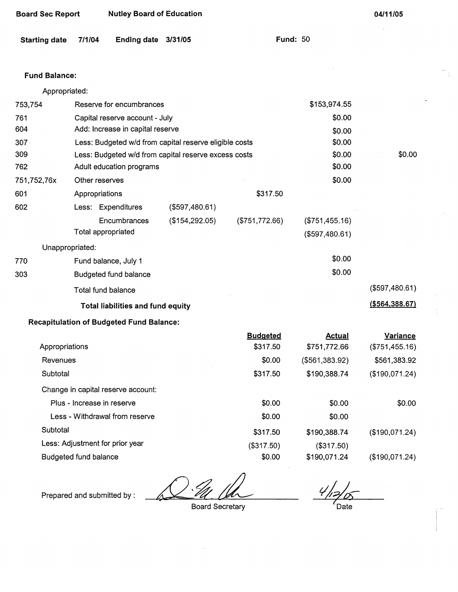| Board Sec Report | <b>Nutley Board of Education</b> |
|------------------|----------------------------------|
|------------------|----------------------------------|

| Starting date 7/1/04 Ending date 3/31/05 |  |  |  |  | <b>Fund: 50</b> |
|------------------------------------------|--|--|--|--|-----------------|
|------------------------------------------|--|--|--|--|-----------------|

## Fund **Balance:**

Appropriated:

| 753,754          | Reserve for encumbrances                               |                |                | \$153,974.55   |                  |
|------------------|--------------------------------------------------------|----------------|----------------|----------------|------------------|
| 761              | Capital reserve account - July                         |                |                | \$0.00         |                  |
| 604              | Add: Increase in capital reserve                       |                |                | \$0.00         |                  |
| 307 <sub>1</sub> | Less: Budgeted w/d from capital reserve eligible costs |                |                | \$0.00         |                  |
| 309              | Less: Budgeted w/d from capital reserve excess costs   |                |                | \$0.00         | \$0.00           |
| 762              | Adult education programs                               |                |                | \$0.00         |                  |
| 751,752,76x      | Other reserves                                         |                |                | \$0.00         |                  |
| 601              | Appropriations                                         |                | \$317.50       |                |                  |
| 602              | Less: Expenditures                                     | (\$597,480.61) |                |                |                  |
|                  | <b>Encumbrances</b>                                    | (\$154,292.05) | (\$751,772.66) | (\$751,455.16) |                  |
|                  | Total appropriated                                     |                |                | (\$597,480.61) |                  |
| Unappropriated:  |                                                        |                |                |                |                  |
| 770              | Fund balance, July 1                                   |                |                | \$0.00         |                  |
| 303              | Budgeted fund balance                                  |                |                | \$0.00         |                  |
|                  | Total fund balance                                     |                |                |                | (\$597,480.61)   |
|                  | <b>Total liabilities and fund equity</b>               |                |                |                | ( \$564, 388.67) |
|                  | <b>Recapitulation of Budgeted Fund Balance:</b>        |                |                |                |                  |

|                                    | <b>Budgeted</b> | Actual         | <b>Variance</b> |
|------------------------------------|-----------------|----------------|-----------------|
| Appropriations                     | \$317.50        | \$751,772.66   | (\$751,455.16)  |
| Revenues                           | \$0.00          | (\$561,383.92) | \$561,383.92    |
| Subtotal                           | \$317.50        | \$190,388.74   | (\$190,071.24)  |
| Change in capital reserve account: |                 |                |                 |
| Plus - Increase in reserve         | \$0.00          | \$0.00         | \$0.00          |
| Less - Withdrawal from reserve     | \$0.00          | \$0.00         |                 |
| Subtotal                           | \$317.50        | \$190,388.74   | (\$190,071.24)  |
| Less: Adjustment for prior year    | (\$317.50)      | (\$317.50)     |                 |
| Budgeted fund balance              | \$0.00          | \$190,071.24   | (\$190,071.24)  |

Prepared and submitted by :

Board Secretary

 $\psi^j$ Date

 $\hat{\mathcal{A}}$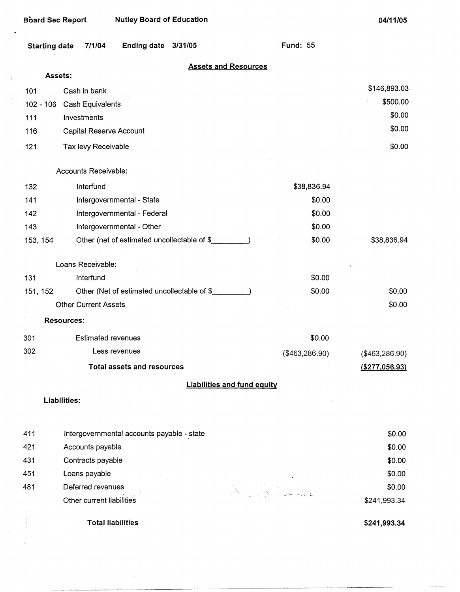$\mathbf{r}$ 

| <b>Starting date</b> | 7/1/04 | <b>Ending date</b> | 3/31/05 |
|----------------------|--------|--------------------|---------|
|----------------------|--------|--------------------|---------|

**Fund:** 55

(\$463,286.90)

#### **Assets and Resources**

| Assets: |                            |                                                       |              |
|---------|----------------------------|-------------------------------------------------------|--------------|
| 101     | Cash in bank               |                                                       | \$146,893.03 |
|         | 102 - 106 Cash Equivalents |                                                       | \$500.00     |
| 111     | Investments                |                                                       | \$0.00       |
| 116     | Capital Reserve Account    | the control of the control of the control of the con- | \$0.00       |
| 121     | Tax levy Receivable        |                                                       | \$0.00       |

#### Accounts Receivable:

| 132               | Interfund                                   | \$38,836.94 |             |
|-------------------|---------------------------------------------|-------------|-------------|
| 141               | Intergovernmental - State                   | \$0.00      |             |
| 142               | Intergovernmental - Federal                 | \$0.00      |             |
| 143               | Intergovernmental - Other                   | \$0.00      |             |
| 153, 154          | Other (net of estimated uncollectable of \$ | \$0.00      | \$38,836.94 |
|                   | Loans Receivable:                           |             |             |
| 131               | Interfund                                   | \$0.00      |             |
| 151, 152          | Other (Net of estimated uncollectable of \$ | \$0.00      | \$0.00      |
|                   | <b>Other Current Assets</b>                 |             | \$0.00      |
| <b>Resources:</b> |                                             |             |             |
| 301               | <b>Estimated revenues</b>                   | \$0.00      |             |

**Total assets and resources** 

Less revenues

## **Liabilities and fund equity**

**Liabilities:** 

302

| 411 | Intergovernmental accounts payable - state | \$0.00       |
|-----|--------------------------------------------|--------------|
| 421 | Accounts payable                           | \$0.00       |
| 431 | Contracts payable                          | \$0.00       |
| 451 | Loans payable                              | \$0.00       |
| 481 | Deferred revenues                          | \$0.00       |
|     | Other current liabilities                  | \$241,993.34 |
|     |                                            |              |

**Total liabilities** 

**\$241,993.34** 

(\$463,286.90) **(\$277,056.93)**